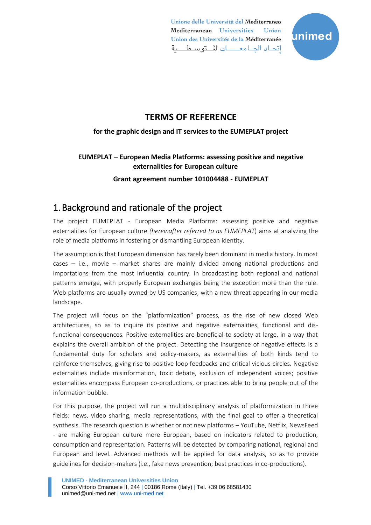

### **TERMS OF REFERENCE**

### **for the graphic design and IT services to the EUMEPLAT project**

### **EUMEPLAT – European Media Platforms: assessing positive and negative externalities for European culture**

**Grant agreement number 101004488 - EUMEPLAT**

## 1. Background and rationale of the project

The project EUMEPLAT - European Media Platforms: assessing positive and negative externalities for European culture *(hereinafter referred to as EUMEPLAT*) aims at analyzing the role of media platforms in fostering or dismantling European identity.

The assumption is that European dimension has rarely been dominant in media history. In most cases – i.e., movie – market shares are mainly divided among national productions and importations from the most influential country. In broadcasting both regional and national patterns emerge, with properly European exchanges being the exception more than the rule. Web platforms are usually owned by US companies, with a new threat appearing in our media landscape.

The project will focus on the "platformization" process, as the rise of new closed Web architectures, so as to inquire its positive and negative externalities, functional and disfunctional consequences. Positive externalities are beneficial to society at large, in a way that explains the overall ambition of the project. Detecting the insurgence of negative effects is a fundamental duty for scholars and policy-makers, as externalities of both kinds tend to reinforce themselves, giving rise to positive loop feedbacks and critical vicious circles. Negative externalities include misinformation, toxic debate, exclusion of independent voices; positive externalities encompass European co-productions, or practices able to bring people out of the information bubble.

For this purpose, the project will run a multidisciplinary analysis of platformization in three fields: news, video sharing, media representations, with the final goal to offer a theoretical synthesis. The research question is whether or not new platforms – YouTube, Netflix, NewsFeed - are making European culture more European, based on indicators related to production, consumption and representation. Patterns will be detected by comparing national, regional and European and level. Advanced methods will be applied for data analysis, so as to provide guidelines for decision-makers (i.e., fake news prevention; best practices in co-productions).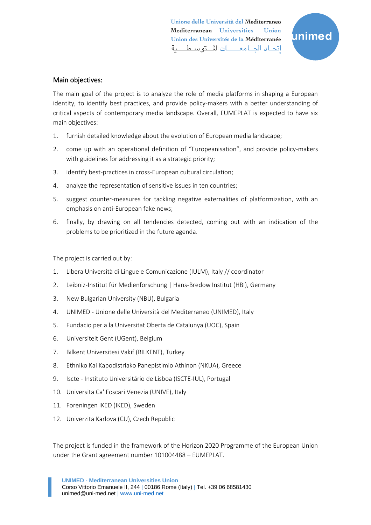

#### Main objectives:

The main goal of the project is to analyze the role of media platforms in shaping a European identity, to identify best practices, and provide policy-makers with a better understanding of critical aspects of contemporary media landscape. Overall, EUMEPLAT is expected to have six main objectives:

- 1. furnish detailed knowledge about the evolution of European media landscape;
- 2. come up with an operational definition of "Europeanisation", and provide policy-makers with guidelines for addressing it as a strategic priority;
- 3. identify best-practices in cross-European cultural circulation;
- 4. analyze the representation of sensitive issues in ten countries;
- 5. suggest counter-measures for tackling negative externalities of platformization, with an emphasis on anti-European fake news;
- 6. finally, by drawing on all tendencies detected, coming out with an indication of the problems to be prioritized in the future agenda.

The project is carried out by:

- 1. Libera Università di Lingue e Comunicazione (IULM), Italy // coordinator
- 2. Leibniz-Institut für Medienforschung | Hans-Bredow Institut (HBI), Germany
- 3. New Bulgarian University (NBU), Bulgaria
- 4. UNIMED Unione delle Università del Mediterraneo (UNIMED), Italy
- 5. Fundacio per a la Universitat Oberta de Catalunya (UOC), Spain
- 6. Universiteit Gent (UGent), Belgium
- 7. Bilkent Universitesi Vakif (BILKENT), Turkey
- 8. Ethniko Kai Kapodistriako Panepistimio Athinon (NKUA), Greece
- 9. Iscte Instituto Universitário de Lisboa (ISCTE-IUL), Portugal
- 10. Universita Ca' Foscari Venezia (UNIVE), Italy
- 11. Foreningen IKED (IKED), Sweden
- 12. Univerzita Karlova (CU), Czech Republic

The project is funded in the framework of the Horizon 2020 Programme of the European Union under the Grant agreement number <sup>101004488</sup> – EUMEPLAT.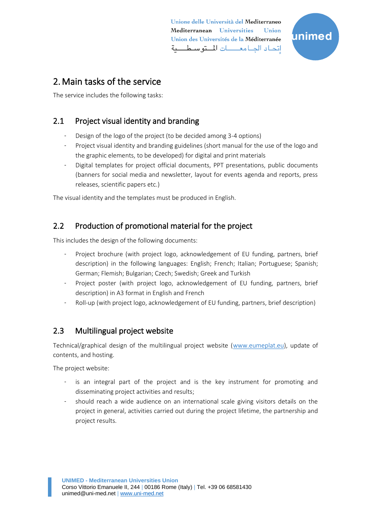

# 2.Main tasks of the service

The service includes the following tasks:

### 2.1 Project visual identity and branding

- Design of the logo of the project (to be decided among 3-4 options)
- Project visual identity and branding guidelines (short manual for the use of the logo and the graphic elements, to be developed) for digital and print materials
- Digital templates for project official documents, PPT presentations, public documents (banners for social media and newsletter, layout for events agenda and reports, press releases, scientific papers etc.)

The visual identity and the templates must be produced in English.

### 2.2 Production of promotional material for the project

This includes the design of the following documents:

- Project brochure (with project logo, acknowledgement of EU funding, partners, brief description) in the following languages: English; French; Italian; Portuguese; Spanish; German; Flemish; Bulgarian; Czech; Swedish; Greek and Turkish
- Project poster (with project logo, acknowledgement of EU funding, partners, brief description) in A3 format in English and French
- Roll-up (with project logo, acknowledgement of EU funding, partners, brief description)

### 2.3 Multilingual project website

Technical/graphical design of the multilingual project website [\(www.eumeplat.eu\)](http://www.eumeplat.eu/), update of contents, and hosting.

The project website:

- is an integral part of the project and is the key instrument for promoting and disseminating project activities and results;
- should reach a wide audience on an international scale giving visitors details on the project in general, activities carried out during the project lifetime, the partnership and project results.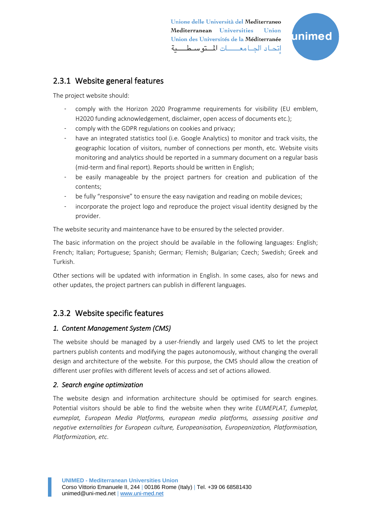

### 2.3.1 Website general features

The project website should:

- comply with the Horizon 2020 Programme requirements for visibility (EU emblem, H2020 funding acknowledgement, disclaimer, open access of documents etc.);
- comply with the GDPR regulations on cookies and privacy;
- have an integrated statistics tool (i.e. Google Analytics) to monitor and track visits, the geographic location of visitors, number of connections per month, etc. Website visits monitoring and analytics should be reported in a summary document on a regular basis (mid-term and final report). Reports should be written in English;
- be easily manageable by the project partners for creation and publication of the contents;
- be fully "responsive" to ensure the easy navigation and reading on mobile devices;
- incorporate the project logo and reproduce the project visual identity designed by the provider.

The website security and maintenance have to be ensured by the selected provider.

The basic information on the project should be available in the following languages: English; French; Italian; Portuguese; Spanish; German; Flemish; Bulgarian; Czech; Swedish; Greek and Turkish.

Other sections will be updated with information in English. In some cases, also for news and other updates, the project partners can publish in different languages.

### 2.3.2 Website specific features

### *1. Content Management System (CMS)*

The website should be managed by a user-friendly and largely used CMS to let the project partners publish contents and modifying the pages autonomously, without changing the overall design and architecture of the website. For this purpose, the CMS should allow the creation of different user profiles with different levels of access and set of actions allowed.

### *2. Search engine optimization*

The website design and information architecture should be optimised for search engines. Potential visitors should be able to find the website when they write *EUMEPLAT, Eumeplat, eumeplat, European Media Platforms, european media platforms, assessing positive and negative externalities for European culture, Europeanisation, Europeanization, Platformisation, Platformization, etc*.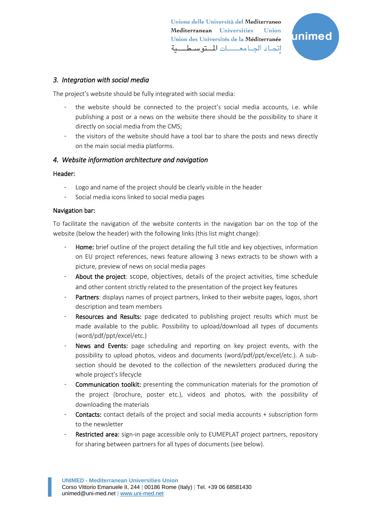

#### *3. Integration with social media*

The project's website should be fully integrated with social media:

- the website should be connected to the project's social media accounts, i.e. while publishing a post or a news on the website there should be the possibility to share it directly on social media from the CMS;
- the visitors of the website should have a tool bar to share the posts and news directly on the main social media platforms.

#### *4. Website information architecture and navigation*

#### Header:

- Logo and name of the project should be clearly visible in the header
- Social media icons linked to social media pages

#### Navigation bar:

To facilitate the navigation of the website contents in the navigation bar on the top of the website (below the header) with the following links (this list might change):

- Home: brief outline of the project detailing the full title and key objectives, information on EU project references, news feature allowing 3 news extracts to be shown with a picture, preview of news on social media pages
- About the project: scope, objectives, details of the project activities, time schedule and other content strictly related to the presentation of the project key features
- Partners: displays names of project partners, linked to their website pages, logos, short description and team members
- Resources and Results: page dedicated to publishing project results which must be made available to the public. Possibility to upload/download all types of documents (word/pdf/ppt/excel/etc.)
- News and Events: page scheduling and reporting on key project events, with the possibility to upload photos, videos and documents (word/pdf/ppt/excel/etc.). A subsection should be devoted to the collection of the newsletters produced during the whole project's lifecycle
- Communication toolkit: presenting the communication materials for the promotion of the project (brochure, poster etc.), videos and photos, with the possibility of downloading the materials
- **Contacts:** contact details of the project and social media accounts + subscription form to the newsletter
- Restricted area: sign-in page accessible only to EUMEPLAT project partners, repository for sharing between partners for all types of documents (see below).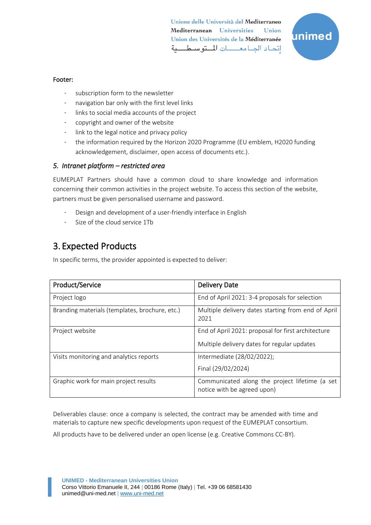

#### Footer:

- subscription form to the newsletter
- navigation bar only with the first level links
- links to social media accounts of the project
- copyright and owner of the website
- link to the legal notice and privacy policy
- the information required by the Horizon 2020 Programme (EU emblem, H2020 funding acknowledgement, disclaimer, open access of documents etc.).

#### *5. Intranet platform – restricted area*

EUMEPLAT Partners should have a common cloud to share knowledge and information concerning their common activities in the project website. To access this section of the website, partners must be given personalised username and password.

- Design and development of a user-friendly interface in English
- Size of the cloud service 1Tb

## 3. Expected Products

In specific terms, the provider appointed is expected to deliver:

| Product/Service                                | <b>Delivery Date</b>                                                          |
|------------------------------------------------|-------------------------------------------------------------------------------|
| Project logo                                   | End of April 2021: 3-4 proposals for selection                                |
| Branding materials (templates, brochure, etc.) | Multiple delivery dates starting from end of April<br>2021                    |
| Project website                                | End of April 2021: proposal for first architecture                            |
|                                                | Multiple delivery dates for regular updates                                   |
| Visits monitoring and analytics reports        | Intermediate (28/02/2022);                                                    |
|                                                | Final (29/02/2024)                                                            |
| Graphic work for main project results          | Communicated along the project lifetime (a set<br>notice with be agreed upon) |

Deliverables clause: once a company is selected, the contract may be amended with time and materials to capture new specific developments upon request of the EUMEPLAT consortium.

All products have to be delivered under an open license (e.g. Creative Commons CC-BY).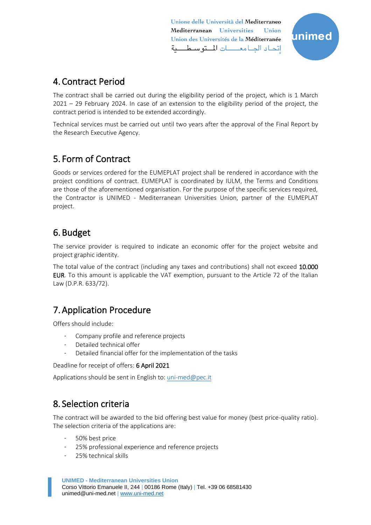

# 4. Contract Period

The contract shall be carried out during the eligibility period of the project, which is 1 March 2021 – 29 February 2024. In case of an extension to the eligibility period of the project, the contract period is intended to be extended accordingly.

Technical services must be carried out until two years after the approval of the Final Report by the Research Executive Agency.

# 5. Form of Contract

Goods or services ordered for the EUMEPLAT project shall be rendered in accordance with the project conditions of contract. EUMEPLAT is coordinated by IULM, the Terms and Conditions are those of the aforementioned organisation. For the purpose of the specific services required, the Contractor is UNIMED - Mediterranean Universities Union, partner of the EUMEPLAT project.

## 6. Budget

The service provider is required to indicate an economic offer for the project website and project graphic identity.

The total value of the contract (including any taxes and contributions) shall not exceed 10.000 EUR. To this amount is applicable the VAT exemption, pursuant to the Article 72 of the Italian Law (D.P.R. 633/72).

## 7.Application Procedure

Offers should include:

- Company profile and reference projects
- Detailed technical offer
- Detailed financial offer for the implementation of the tasks

Deadline for receipt of offers: 6 April 2021

Applications should be sent in English to: uni-med@pec.it

## 8. Selection criteria

The contract will be awarded to the bid offering best value for money (best price-quality ratio). The selection criteria of the applications are:

- 50% best price
- 25% professional experience and reference projects
- 25% technical skills

**UNIMED - Mediterranean Universities Union** Corso Vittorio Emanuele II, 244 | 00186 Rome (Italy) | Tel. +39 06 68581430 unimed@uni-med.net | [www.uni-med.net](http://www.uni-med.net/)